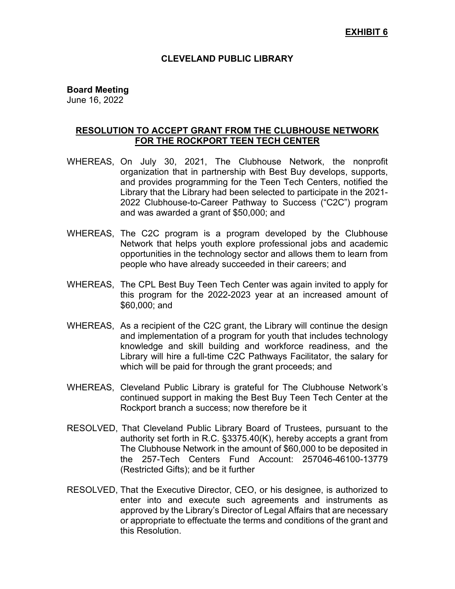### **CLEVELAND PUBLIC LIBRARY**

### **Board Meeting**

June 16, 2022

## **RESOLUTION TO ACCEPT GRANT FROM THE CLUBHOUSE NETWORK FOR THE ROCKPORT TEEN TECH CENTER**

- WHEREAS, On July 30, 2021, The Clubhouse Network, the nonprofit organization that in partnership with Best Buy develops, supports, and provides programming for the Teen Tech Centers, notified the Library that the Library had been selected to participate in the 2021- 2022 Clubhouse-to-Career Pathway to Success ("C2C") program and was awarded a grant of \$50,000; and
- WHEREAS, The C2C program is a program developed by the Clubhouse Network that helps youth explore professional jobs and academic opportunities in the technology sector and allows them to learn from people who have already succeeded in their careers; and
- WHEREAS, The CPL Best Buy Teen Tech Center was again invited to apply for this program for the 2022-2023 year at an increased amount of \$60,000; and
- WHEREAS, As a recipient of the C2C grant, the Library will continue the design and implementation of a program for youth that includes technology knowledge and skill building and workforce readiness, and the Library will hire a full-time C2C Pathways Facilitator, the salary for which will be paid for through the grant proceeds; and
- WHEREAS, Cleveland Public Library is grateful for The Clubhouse Network's continued support in making the Best Buy Teen Tech Center at the Rockport branch a success; now therefore be it
- RESOLVED, That Cleveland Public Library Board of Trustees, pursuant to the authority set forth in R.C. §3375.40(K), hereby accepts a grant from The Clubhouse Network in the amount of \$60,000 to be deposited in the 257-Tech Centers Fund Account: 257046-46100-13779 (Restricted Gifts); and be it further
- RESOLVED, That the Executive Director, CEO, or his designee, is authorized to enter into and execute such agreements and instruments as approved by the Library's Director of Legal Affairs that are necessary or appropriate to effectuate the terms and conditions of the grant and this Resolution.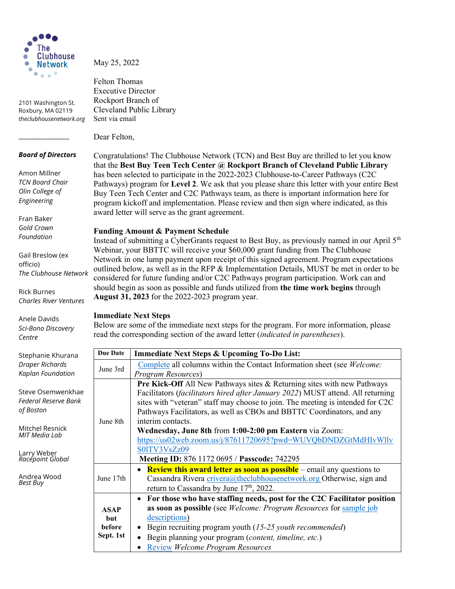

2101 Washington St. Roxbury, MA 02119 theclubhousenetwork.org May 25, 2022

Felton Thomas Executive Director Rockport Branch of Sent via email

#### Board of Directors

\_\_\_\_\_\_\_\_\_\_\_\_\_\_\_\_

Amon Millner TCN Board Chair Olin College of Engineering

Fran Baker Gold Crown Foundation

Gail Breslow (ex officio) The Clubhouse Network

Rick Burnes Charles River Ventures

Anele Davids Sci-Bono Discovery Centre

Stephanie Khurana Draper Richards Kaplan Foundation

Steve Osemwenkhae Federal Reserve Bank of Boston

Mitchel Resnick MIT Media Lab

Larry Weber Racepoint Global

Andrea Wood Best Buy

Cleveland Public Library Dear Felton,

Congratulations! The Clubhouse Network (TCN) and Best Buy are thrilled to let you know that the Best Buy Teen Tech Center @ Rockport Branch of Cleveland Public Library has been selected to participate in the 2022-2023 Clubhouse-to-Career Pathways (C2C Pathways) program for Level 2. We ask that you please share this letter with your entire Best Buy Teen Tech Center and C2C Pathways team, as there is important information here for program kickoff and implementation. Please review and then sign where indicated, as this award letter will serve as the grant agreement.

## Funding Amount & Payment Schedule

Instead of submitting a CyberGrants request to Best Buy, as previously named in our April  $5<sup>th</sup>$ Webinar, your BBTTC will receive your \$60,000 grant funding from The Clubhouse Network in one lump payment upon receipt of this signed agreement. Program expectations outlined below, as well as in the RFP & Implementation Details, MUST be met in order to be considered for future funding and/or C2C Pathways program participation. Work can and should begin as soon as possible and funds utilized from the time work begins through August 31, 2023 for the 2022-2023 program year.

#### Immediate Next Steps

Below are some of the immediate next steps for the program. For more information, please read the corresponding section of the award letter (indicated in parentheses).

| <b>Due Date</b>                                  | <b>Immediate Next Steps &amp; Upcoming To-Do List:</b>                                |  |
|--------------------------------------------------|---------------------------------------------------------------------------------------|--|
| June 3rd                                         | Complete all columns within the Contact Information sheet (see Welcome:               |  |
|                                                  | Program Resources)                                                                    |  |
| June 8th                                         | Pre Kick-Off All New Pathways sites & Returning sites with new Pathways               |  |
|                                                  | Facilitators (facilitators hired after January 2022) MUST attend. All returning       |  |
|                                                  | sites with "veteran" staff may choose to join. The meeting is intended for C2C        |  |
|                                                  | Pathways Facilitators, as well as CBOs and BBTTC Coordinators, and any                |  |
|                                                  | interim contacts.                                                                     |  |
|                                                  | Wednesday, June 8th from 1:00-2:00 pm Eastern via Zoom:                               |  |
|                                                  | https://us02web.zoom.us/j/87611720695?pwd=WUVQbDNDZGtMdHIvWllv                        |  |
|                                                  | S01TV3VsZz09                                                                          |  |
|                                                  | Meeting ID: 876 1172 0695 / Passcode: 742295                                          |  |
| June 17th                                        | • <b>Review this award letter as soon as possible</b> – email any questions to        |  |
|                                                  | Cassandra Rivera crivera@theclubhousenetwork.org Otherwise, sign and                  |  |
|                                                  | return to Cassandra by June 17 <sup>th</sup> , 2022.                                  |  |
| <b>ASAP</b><br><b>but</b><br>hefore<br>Sept. 1st | For those who have staffing needs, post for the C2C Facilitator position<br>$\bullet$ |  |
|                                                  | as soon as possible (see Welcome: Program Resources for sample job                    |  |
|                                                  | descriptions)                                                                         |  |
|                                                  | • Begin recruiting program youth $(15-25$ youth recommended)                          |  |
|                                                  | Begin planning your program (content, timeline, etc.)                                 |  |
|                                                  | <b>Review Welcome Program Resources</b>                                               |  |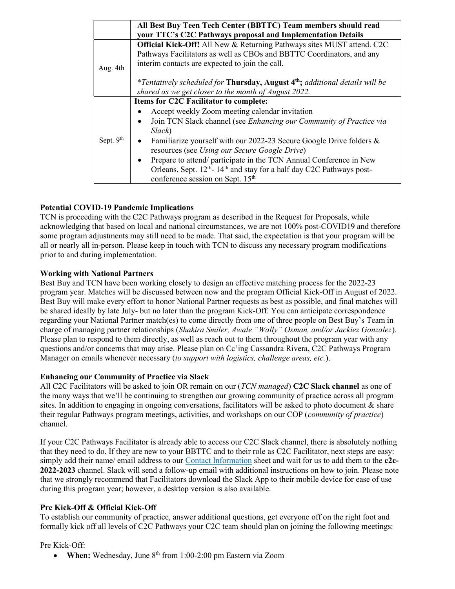|             | All Best Buy Teen Tech Center (BBTTC) Team members should read<br>your TTC's C2C Pathways proposal and Implementation Details                                                                                                                                                                                                                                                                                                                                                                                                                     |  |
|-------------|---------------------------------------------------------------------------------------------------------------------------------------------------------------------------------------------------------------------------------------------------------------------------------------------------------------------------------------------------------------------------------------------------------------------------------------------------------------------------------------------------------------------------------------------------|--|
| Aug. 4th    | Official Kick-Off! All New & Returning Pathways sites MUST attend. C2C<br>Pathways Facilitators as well as CBOs and BBTTC Coordinators, and any<br>interim contacts are expected to join the call.                                                                                                                                                                                                                                                                                                                                                |  |
|             | *Tentatively scheduled for <b>Thursday, August 4<sup>th</sup>;</b> additional details will be<br>shared as we get closer to the month of August 2022.                                                                                                                                                                                                                                                                                                                                                                                             |  |
| Sept. $9th$ | Items for C2C Facilitator to complete:<br>Accept weekly Zoom meeting calendar invitation<br>Join TCN Slack channel (see Enhancing our Community of Practice via<br>$\bullet$<br>Slack)<br>Familiarize yourself with our 2022-23 Secure Google Drive folders &<br>$\bullet$<br>resources (see Using our Secure Google Drive)<br>Prepare to attend/ participate in the TCN Annual Conference in New<br>$\bullet$<br>Orleans, Sept. $12^{th}$ - $14^{th}$ and stay for a half day C2C Pathways post-<br>conference session on Sept. 15 <sup>th</sup> |  |

## Potential COVID-19 Pandemic Implications

TCN is proceeding with the C2C Pathways program as described in the Request for Proposals, while acknowledging that based on local and national circumstances, we are not 100% post-COVID19 and therefore some program adjustments may still need to be made. That said, the expectation is that your program will be all or nearly all in-person. Please keep in touch with TCN to discuss any necessary program modifications prior to and during implementation.

#### Working with National Partners

Best Buy and TCN have been working closely to design an effective matching process for the 2022-23 program year. Matches will be discussed between now and the program Official Kick-Off in August of 2022. Best Buy will make every effort to honor National Partner requests as best as possible, and final matches will be shared ideally by late July- but no later than the program Kick-Off. You can anticipate correspondence regarding your National Partner match(es) to come directly from one of three people on Best Buy's Team in charge of managing partner relationships (Shakira Smiler, Awale "Wally" Osman, and/or Jackiez Gonzalez). Please plan to respond to them directly, as well as reach out to them throughout the program year with any questions and/or concerns that may arise. Please plan on Cc'ing Cassandra Rivera, C2C Pathways Program Manager on emails whenever necessary (to support with logistics, challenge areas, etc.).

#### Enhancing our Community of Practice via Slack

All C2C Facilitators will be asked to join OR remain on our  $(TCN$  managed) C2C Slack channel as one of the many ways that we'll be continuing to strengthen our growing community of practice across all program sites. In addition to engaging in ongoing conversations, facilitators will be asked to photo document & share their regular Pathways program meetings, activities, and workshops on our COP (community of practice) channel.

If your C2C Pathways Facilitator is already able to access our C2C Slack channel, there is absolutely nothing that they need to do. If they are new to your BBTTC and to their role as C2C Facilitator, next steps are easy: simply add their name/ email address to our Contact Information sheet and wait for us to add them to the c2c-2022-2023 channel. Slack will send a follow-up email with additional instructions on how to join. Please note that we strongly recommend that Facilitators download the Slack App to their mobile device for ease of use during this program year; however, a desktop version is also available.

#### Pre Kick-Off & Official Kick-Off

To establish our community of practice, answer additional questions, get everyone off on the right foot and formally kick off all levels of C2C Pathways your C2C team should plan on joining the following meetings:

#### Pre Kick-Off:

• When: Wednesday, June  $8<sup>th</sup>$  from 1:00-2:00 pm Eastern via Zoom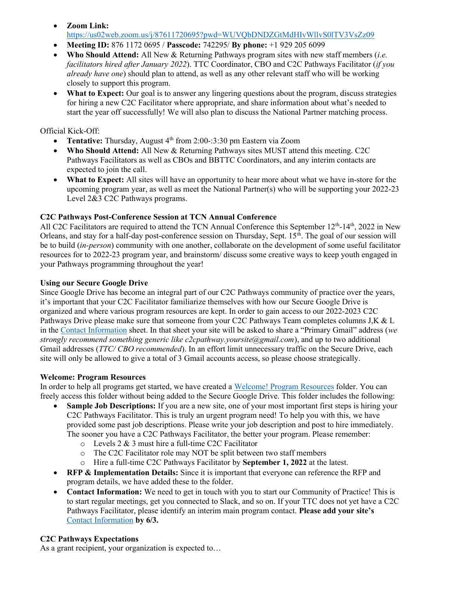- Zoom Link:
- https://us02web.zoom.us/j/87611720695?pwd=WUVQbDNDZGtMdHIvWllvS0lTV3VsZz09
- Meeting ID: 876 1172 0695 / Passcode: 742295 / By phone: +1 929 205 6099
- Who Should Attend: All New & Returning Pathways program sites with new staff members (*i.e.*) facilitators hired after January 2022). TTC Coordinator, CBO and C2C Pathways Facilitator (if you already have one) should plan to attend, as well as any other relevant staff who will be working closely to support this program.
- What to Expect: Our goal is to answer any lingering questions about the program, discuss strategies for hiring a new C2C Facilitator where appropriate, and share information about what's needed to start the year off successfully! We will also plan to discuss the National Partner matching process.

Official Kick-Off:

- Tentative: Thursday, August  $4<sup>th</sup>$  from 2:00-:3:30 pm Eastern via Zoom
- Who Should Attend: All New & Returning Pathways sites MUST attend this meeting. C2C Pathways Facilitators as well as CBOs and BBTTC Coordinators, and any interim contacts are expected to join the call.
- What to Expect: All sites will have an opportunity to hear more about what we have in-store for the upcoming program year, as well as meet the National Partner(s) who will be supporting your 2022-23 Level 2&3 C2C Pathways programs.

# C2C Pathways Post-Conference Session at TCN Annual Conference

All C2C Facilitators are required to attend the TCN Annual Conference this September  $12<sup>th</sup>$ -14<sup>th</sup>, 2022 in New Orleans, and stay for a half-day post-conference session on Thursday, Sept. 15<sup>th</sup>. The goal of our session will be to build (*in-person*) community with one another, collaborate on the development of some useful facilitator resources for to 2022-23 program year, and brainstorm/ discuss some creative ways to keep youth engaged in your Pathways programming throughout the year!

#### Using our Secure Google Drive

Since Google Drive has become an integral part of our C2C Pathways community of practice over the years, it's important that your C2C Facilitator familiarize themselves with how our Secure Google Drive is organized and where various program resources are kept. In order to gain access to our 2022-2023 C2C Pathways Drive please make sure that someone from your C2C Pathways Team completes columns J,K & L in the Contact Information sheet. In that sheet your site will be asked to share a "Primary Gmail" address (we strongly recommend something generic like c2cpathway.yoursite@gmail.com), and up to two additional Gmail addresses (*TTC/ CBO recommended*). In an effort limit unnecessary traffic on the Secure Drive, each site will only be allowed to give a total of 3 Gmail accounts access, so please choose strategically.

#### Welcome: Program Resources

In order to help all programs get started, we have created a Welcome! Program Resources folder. You can freely access this folder without being added to the Secure Google Drive. This folder includes the following:

- Sample Job Descriptions: If you are a new site, one of your most important first steps is hiring your C2C Pathways Facilitator. This is truly an urgent program need! To help you with this, we have provided some past job descriptions. Please write your job description and post to hire immediately. The sooner you have a C2C Pathways Facilitator, the better your program. Please remember:
	- o Levels 2 & 3 must hire a full-time C2C Facilitator
	- o The C2C Facilitator role may NOT be split between two staff members
	- o Hire a full-time C2C Pathways Facilitator by September 1, 2022 at the latest.
- RFP & Implementation Details: Since it is important that everyone can reference the RFP and program details, we have added these to the folder.
- Contact Information: We need to get in touch with you to start our Community of Practice! This is to start regular meetings, get you connected to Slack, and so on. If your TTC does not yet have a C2C Pathways Facilitator, please identify an interim main program contact. Please add your site's Contact Information by 6/3.

#### C2C Pathways Expectations

As a grant recipient, your organization is expected to…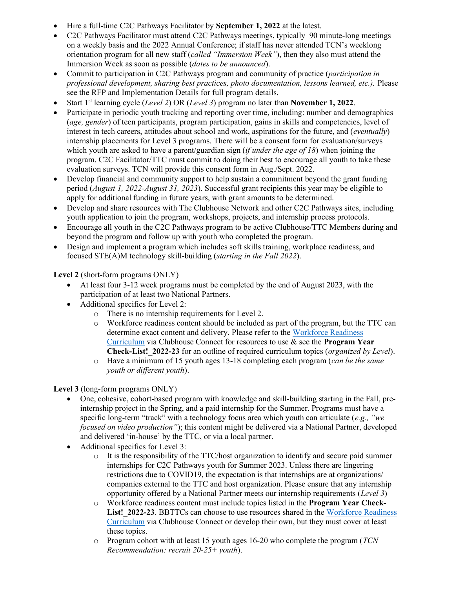- Hire a full-time C2C Pathways Facilitator by September 1, 2022 at the latest.
- C2C Pathways Facilitator must attend C2C Pathways meetings, typically 90 minute-long meetings on a weekly basis and the 2022 Annual Conference; if staff has never attended TCN's weeklong orientation program for all new staff (called "Immersion Week"), then they also must attend the Immersion Week as soon as possible (dates to be announced).
- Commit to participation in C2C Pathways program and community of practice (*participation in* professional development, sharing best practices, photo documentation, lessons learned, etc.). Please see the RFP and Implementation Details for full program details.
- Start 1<sup>st</sup> learning cycle (*Level 2*) OR (*Level 3*) program no later than **November 1, 2022**.
- Participate in periodic youth tracking and reporting over time, including: number and demographics (age, gender) of teen participants, program participation, gains in skills and competencies, level of interest in tech careers, attitudes about school and work, aspirations for the future, and (*eventually*) internship placements for Level 3 programs. There will be a consent form for evaluation/surveys which youth are asked to have a parent/guardian sign (*if under the age of 18*) when joining the program. C2C Facilitator/TTC must commit to doing their best to encourage all youth to take these evaluation surveys. TCN will provide this consent form in Aug./Sept. 2022.
- Develop financial and community support to help sustain a commitment beyond the grant funding period (August 1, 2022-August 31, 2023). Successful grant recipients this year may be eligible to apply for additional funding in future years, with grant amounts to be determined.
- Develop and share resources with The Clubhouse Network and other C2C Pathways sites, including youth application to join the program, workshops, projects, and internship process protocols.
- Encourage all youth in the C2C Pathways program to be active Clubhouse/TTC Members during and beyond the program and follow up with youth who completed the program.
- Design and implement a program which includes soft skills training, workplace readiness, and focused STE(A)M technology skill-building (starting in the Fall 2022).

Level 2 (short-form programs ONLY)

- At least four 3-12 week programs must be completed by the end of August 2023, with the participation of at least two National Partners.
- Additional specifics for Level 2:
	- o There is no internship requirements for Level 2.
	- o Workforce readiness content should be included as part of the program, but the TTC can determine exact content and delivery. Please refer to the Workforce Readiness Curriculum via Clubhouse Connect for resources to use & see the Program Year Check-List! 2022-23 for an outline of required curriculum topics (*organized by Level*).
	- $\circ$  Have a minimum of 15 youth ages 13-18 completing each program (*can be the same* youth or different youth).

Level 3 (long-form programs ONLY)

- One, cohesive, cohort-based program with knowledge and skill-building starting in the Fall, preinternship project in the Spring, and a paid internship for the Summer. Programs must have a specific long-term "track" with a technology focus area which youth can articulate (e.g., "we focused on video production"); this content might be delivered via a National Partner, developed and delivered 'in-house' by the TTC, or via a local partner.
- Additional specifics for Level 3:
	- $\circ$  It is the responsibility of the TTC/host organization to identify and secure paid summer internships for C2C Pathways youth for Summer 2023. Unless there are lingering restrictions due to COVID19, the expectation is that internships are at organizations/ companies external to the TTC and host organization. Please ensure that any internship opportunity offered by a National Partner meets our internship requirements (Level 3)
	- $\circ$  Workforce readiness content must include topics listed in the **Program Year Check-**List! 2022-23. BBTTCs can choose to use resources shared in the Workforce Readiness Curriculum via Clubhouse Connect or develop their own, but they must cover at least these topics.
	- $\circ$  Program cohort with at least 15 youth ages 16-20 who complete the program (TCN) Recommendation: recruit 20-25+ youth).